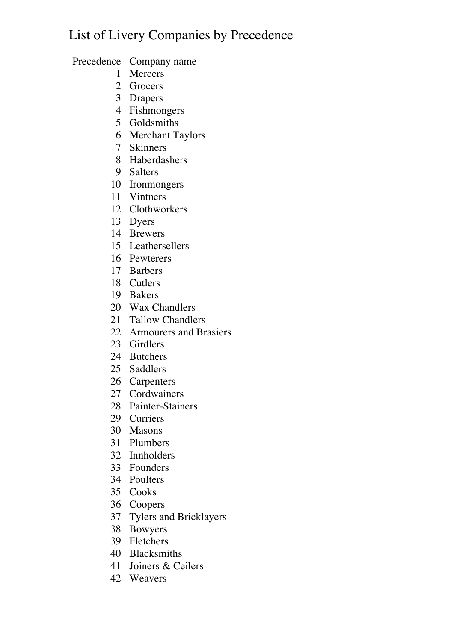## List of Livery Companies by Precedence

Precedence Company name

- Mercers
- Grocers
- Drapers
- Fishmongers
- Goldsmiths
- Merchant Taylors
- Skinners
- Haberdashers
- Salters
- Ironmongers
- Vintners
- Clothworkers
- Dyers
- Brewers
- Leathersellers
- Pewterers
- Barbers
- Cutlers
- Bakers
- Wax Chandlers
- Tallow Chandlers
- Armourers and Brasiers
- Girdlers
- Butchers
- Saddlers
- Carpenters
- Cordwainers
- Painter-Stainers
- Curriers
- Masons
- Plumbers
- Innholders
- Founders
- Poulters
- Cooks
- Coopers
- Tylers and Bricklayers
- Bowyers
- Fletchers
- Blacksmiths
- Joiners & Ceilers
- Weavers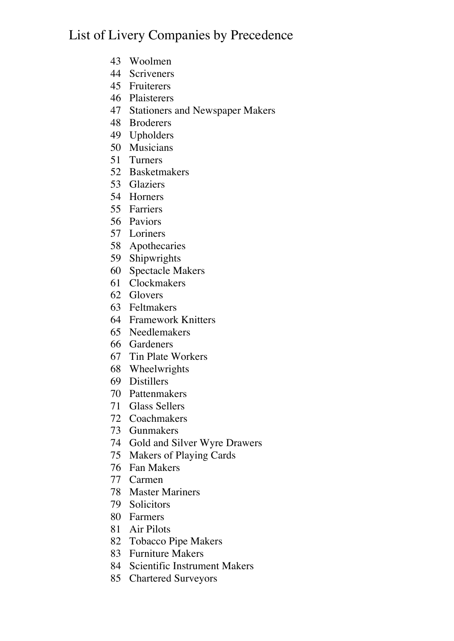## List of Livery Companies by Precedence

- Woolmen
- Scriveners
- Fruiterers
- Plaisterers
- Stationers and Newspaper Makers
- Broderers
- Upholders
- Musicians
- Turners
- Basketmakers
- Glaziers
- Horners
- Farriers
- Paviors
- Loriners
- Apothecaries
- Shipwrights
- Spectacle Makers
- Clockmakers
- Glovers
- Feltmakers
- Framework Knitters
- Needlemakers
- Gardeners
- Tin Plate Workers
- Wheelwrights
- Distillers
- Pattenmakers
- Glass Sellers
- Coachmakers
- Gunmakers
- Gold and Silver Wyre Drawers
- Makers of Playing Cards
- Fan Makers
- Carmen
- Master Mariners
- Solicitors
- Farmers
- Air Pilots
- Tobacco Pipe Makers
- Furniture Makers
- Scientific Instrument Makers
- Chartered Surveyors